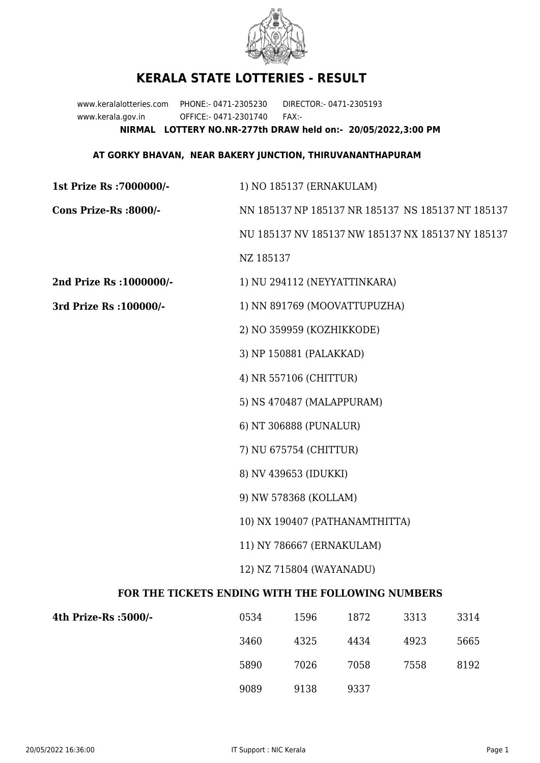

## **KERALA STATE LOTTERIES - RESULT**

www.keralalotteries.com PHONE:- 0471-2305230 DIRECTOR:- 0471-2305193 www.kerala.gov.in OFFICE:- 0471-2301740 FAX:- **NIRMAL LOTTERY NO.NR-277th DRAW held on:- 20/05/2022,3:00 PM**

## **AT GORKY BHAVAN, NEAR BAKERY JUNCTION, THIRUVANANTHAPURAM**

| 1st Prize Rs : 7000000/-                          | 1) NO 185137 (ERNAKULAM)                                    |                              |      |      |      |  |
|---------------------------------------------------|-------------------------------------------------------------|------------------------------|------|------|------|--|
| Cons Prize-Rs :8000/-                             | NN 185137 NP 185137 NR 185137 NS 185137 NT 185137           |                              |      |      |      |  |
|                                                   | NU 185137 NV 185137 NW 185137 NX 185137 NY 185137           |                              |      |      |      |  |
|                                                   | NZ 185137                                                   |                              |      |      |      |  |
| 2nd Prize Rs : 1000000/-                          |                                                             | 1) NU 294112 (NEYYATTINKARA) |      |      |      |  |
| 3rd Prize Rs : 100000/-                           | 1) NN 891769 (MOOVATTUPUZHA)                                |                              |      |      |      |  |
|                                                   | 2) NO 359959 (KOZHIKKODE)                                   |                              |      |      |      |  |
|                                                   | 3) NP 150881 (PALAKKAD)                                     |                              |      |      |      |  |
|                                                   | 4) NR 557106 (CHITTUR)                                      |                              |      |      |      |  |
|                                                   | 5) NS 470487 (MALAPPURAM)                                   |                              |      |      |      |  |
|                                                   | 6) NT 306888 (PUNALUR)                                      |                              |      |      |      |  |
|                                                   | 7) NU 675754 (CHITTUR)                                      |                              |      |      |      |  |
|                                                   | 8) NV 439653 (IDUKKI)                                       |                              |      |      |      |  |
|                                                   | 9) NW 578368 (KOLLAM)                                       |                              |      |      |      |  |
|                                                   | 10) NX 190407 (PATHANAMTHITTA)<br>11) NY 786667 (ERNAKULAM) |                              |      |      |      |  |
|                                                   |                                                             |                              |      |      |      |  |
|                                                   | 12) NZ 715804 (WAYANADU)                                    |                              |      |      |      |  |
| FOR THE TICKETS ENDING WITH THE FOLLOWING NUMBERS |                                                             |                              |      |      |      |  |
| 4th Prize-Rs :5000/-                              | 0534                                                        | 1596                         | 1872 | 3313 | 3314 |  |
|                                                   | 3460                                                        | 4325                         | 4434 | 4923 | 5665 |  |

9089 9138 9337

5890 7026 7058 7558 8192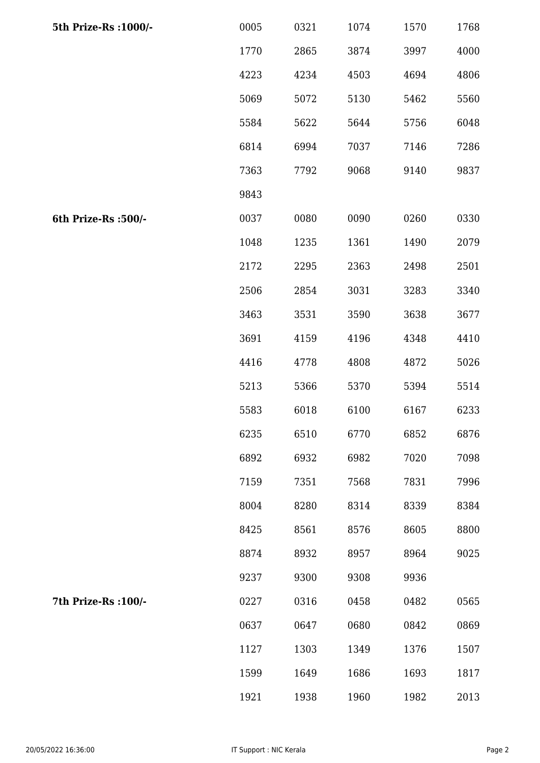| 5th Prize-Rs : 1000/- | 0005 | 0321 | 1074 | 1570 | 1768 |
|-----------------------|------|------|------|------|------|
|                       | 1770 | 2865 | 3874 | 3997 | 4000 |
|                       | 4223 | 4234 | 4503 | 4694 | 4806 |
|                       | 5069 | 5072 | 5130 | 5462 | 5560 |
|                       | 5584 | 5622 | 5644 | 5756 | 6048 |
|                       | 6814 | 6994 | 7037 | 7146 | 7286 |
|                       | 7363 | 7792 | 9068 | 9140 | 9837 |
|                       | 9843 |      |      |      |      |
| 6th Prize-Rs :500/-   | 0037 | 0080 | 0090 | 0260 | 0330 |
|                       | 1048 | 1235 | 1361 | 1490 | 2079 |
|                       | 2172 | 2295 | 2363 | 2498 | 2501 |
|                       | 2506 | 2854 | 3031 | 3283 | 3340 |
|                       | 3463 | 3531 | 3590 | 3638 | 3677 |
|                       | 3691 | 4159 | 4196 | 4348 | 4410 |
|                       | 4416 | 4778 | 4808 | 4872 | 5026 |
|                       | 5213 | 5366 | 5370 | 5394 | 5514 |
|                       | 5583 | 6018 | 6100 | 6167 | 6233 |
|                       | 6235 | 6510 | 6770 | 6852 | 6876 |
|                       | 6892 | 6932 | 6982 | 7020 | 7098 |
|                       | 7159 | 7351 | 7568 | 7831 | 7996 |
|                       | 8004 | 8280 | 8314 | 8339 | 8384 |
|                       | 8425 | 8561 | 8576 | 8605 | 8800 |
|                       | 8874 | 8932 | 8957 | 8964 | 9025 |
|                       | 9237 | 9300 | 9308 | 9936 |      |
| 7th Prize-Rs : 100/-  | 0227 | 0316 | 0458 | 0482 | 0565 |
|                       | 0637 | 0647 | 0680 | 0842 | 0869 |
|                       | 1127 | 1303 | 1349 | 1376 | 1507 |
|                       | 1599 | 1649 | 1686 | 1693 | 1817 |
|                       | 1921 | 1938 | 1960 | 1982 | 2013 |